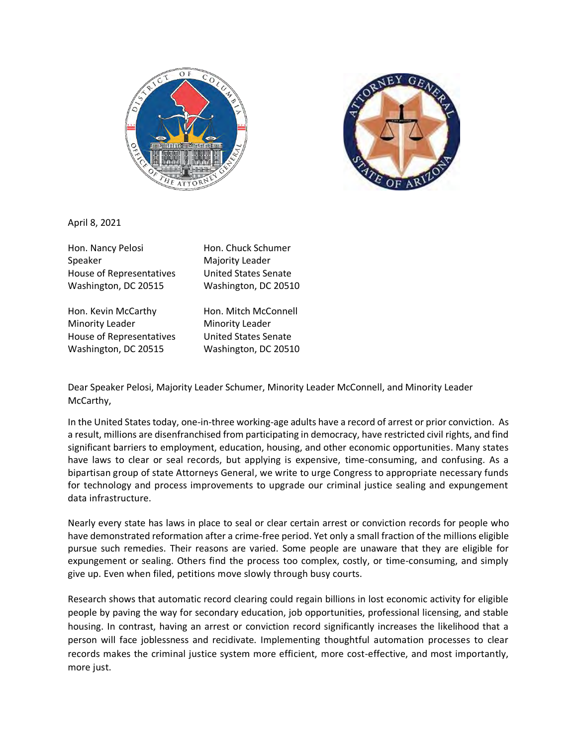



April 8, 2021

Hon. Nancy Pelosi Hon. Chuck Schumer Speaker Majority Leader House of Representatives United States Senate Washington, DC 20515 Washington, DC 20510

Hon. Kevin McCarthy Hon. Mitch McConnell Minority Leader Minority Leader House of Representatives United States Senate Washington, DC 20515 Washington, DC 20510

Dear Speaker Pelosi, Majority Leader Schumer, Minority Leader McConnell, and Minority Leader McCarthy,

In the United States today, one-in-three working-age adults have a record of arrest or prior conviction. As a result, millions are disenfranchised from participating in democracy, have restricted civil rights, and find significant barriers to employment, education, housing, and other economic opportunities. Many states have laws to clear or seal records, but applying is expensive, time-consuming, and confusing. As a bipartisan group of state Attorneys General, we write to urge Congress to appropriate necessary funds for technology and process improvements to upgrade our criminal justice sealing and expungement data infrastructure.

Nearly every state has laws in place to seal or clear certain arrest or conviction records for people who have demonstrated reformation after a crime-free period. Yet only a small fraction of the millions eligible pursue such remedies. Their reasons are varied. Some people are unaware that they are eligible for expungement or sealing. Others find the process too complex, costly, or time-consuming, and simply give up. Even when filed, petitions move slowly through busy courts.

Research shows that automatic record clearing could regain billions in lost economic activity for eligible people by paving the way for secondary education, job opportunities, professional licensing, and stable housing. In contrast, having an arrest or conviction record significantly increases the likelihood that a person will face joblessness and recidivate. Implementing thoughtful automation processes to clear records makes the criminal justice system more efficient, more cost-effective, and most importantly, more just.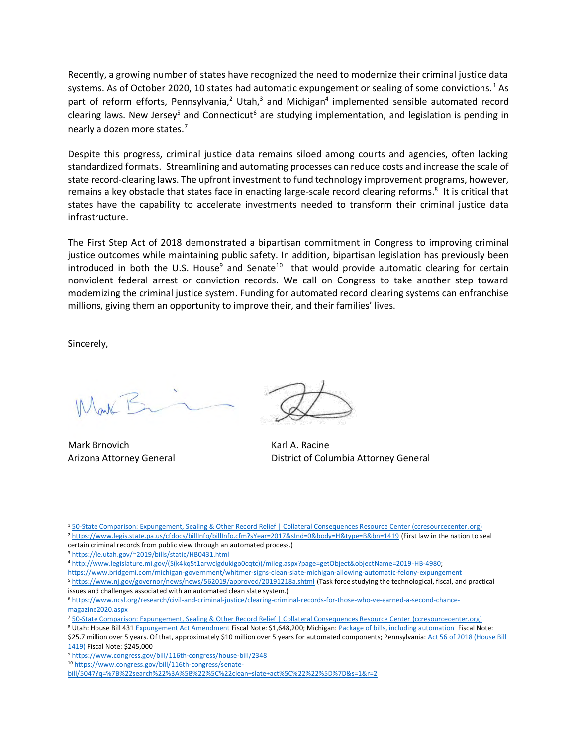Recently, a growing number of states have recognized the need to modernize their criminal justice data systems. As of October 2020, 10 states had automatic expungement or sealing of some convictions.<sup>1</sup> As part of reform efforts, Pennsylvania,<sup>2</sup> Utah,<sup>3</sup> and Michigan<sup>4</sup> implemented sensible automated record clearing laws. New Jersey<sup>5</sup> and Connecticut<sup>6</sup> are studying implementation, and legislation is pending in nearly a dozen more states.<sup>7</sup>

Despite this progress, criminal justice data remains siloed among courts and agencies, often lacking standardized formats. Streamlining and automating processes can reduce costs and increase the scale of state record-clearing laws. The upfront investment to fund technology improvement programs, however, remains a key obstacle that states face in enacting large-scale record clearing reforms.<sup>8</sup> It is critical that states have the capability to accelerate investments needed to transform their criminal justice data infrastructure.

The First Step Act of 2018 demonstrated a bipartisan commitment in Congress to improving criminal justice outcomes while maintaining public safety. In addition, bipartisan legislation has previously been introduced in both the U.S. House<sup>9</sup> and Senate<sup>10</sup> that would provide automatic clearing for certain nonviolent federal arrest or conviction records. We call on Congress to take another step toward modernizing the criminal justice system. Funding for automated record clearing systems can enfranchise millions, giving them an opportunity to improve their, and their families' lives.

Sincerely,

Land F

Mark Brnovich **Karl A. Racine** 

Arizona Attorney General District of Columbia Attorney General

<sup>3</sup> <https://le.utah.gov/~2019/bills/static/HB0431.html>

<sup>1</sup> [50-State Comparison: Expungement, Sealing & Other Record Relief | Collateral Consequences Resource Center \(ccresourcecenter.org\)](https://ccresourcecenter.org/state-restoration-profiles/50-state-comparisonjudicial-expungement-sealing-and-set-aside/)

<sup>2</sup> <https://www.legis.state.pa.us/cfdocs/billInfo/billInfo.cfm?sYear=2017&sInd=0&body=H&type=B&bn=1419> (First law in the nation to seal certain criminal records from public view through an automated process.)

<sup>4</sup> [http://www.legislature.mi.gov/\(S\(k4kq5t1arwclgdukigo0cqtc\)\)/mileg.aspx?page=getObject&objectName=2019-HB-4980;](http://www.legislature.mi.gov/(S(k4kq5t1arwclgdukigo0cqtc))/mileg.aspx?page=getObject&objectName=2019-HB-4980)

<https://www.bridgemi.com/michigan-government/whitmer-signs-clean-slate-michigan-allowing-automatic-felony-expungement>

<sup>5</sup> <https://www.nj.gov/governor/news/news/562019/approved/20191218a.shtml> (Task force studying the technological, fiscal, and practical issues and challenges associated with an automated clean slate system.)

<sup>6</sup> [https://www.ncsl.org/research/civil-and-criminal-justice/clearing-criminal-records-for-those-who-ve-earned-a-second-chance](https://www.ncsl.org/research/civil-and-criminal-justice/clearing-criminal-records-for-those-who-ve-earned-a-second-chance-magazine2020.aspx)[magazine2020.aspx](https://www.ncsl.org/research/civil-and-criminal-justice/clearing-criminal-records-for-those-who-ve-earned-a-second-chance-magazine2020.aspx)

<sup>7</sup> [50-State Comparison: Expungement, Sealing & Other Record Relief | Collateral Consequences Resource Center \(ccresourcecenter.org\)](https://ccresourcecenter.org/state-restoration-profiles/50-state-comparisonjudicial-expungement-sealing-and-set-aside/)

<sup>8</sup> Utah: House Bill 43[1 Expungement Act Amendment](https://le.utah.gov/~2019/bills/static/HB0431.html) Fiscal Note: \$1,648,200; Michigan: [Package of bills, including automation](http://www.legislature.mi.gov/documents/2019-2020/billanalysis/Senate/pdf/2019-SFA-4980-N.pdf) Fiscal Note: \$25.7 million over 5 years. Of that, approximately \$10 million over 5 years for automated components; Pennsylvania: Act 56 of 2018 (House Bill [1419\)](https://www.legis.state.pa.us/cfdocs/billInfo/billInfo.cfm?sYear=2017&sInd=0&body=H&type=B&bn=1419) Fiscal Note: \$245,000

<sup>9</sup> <https://www.congress.gov/bill/116th-congress/house-bill/2348>

<sup>10</sup> [https://www.congress.gov/bill/116th-congress/senate-](https://www.congress.gov/bill/116th-congress/senate-bill/5047?q=%7B%22search%22%3A%5B%22%5C%22clean+slate+act%5C%22%22%5D%7D&s=1&r=2)

[bill/5047?q=%7B%22search%22%3A%5B%22%5C%22clean+slate+act%5C%22%22%5D%7D&s=1&r=2](https://www.congress.gov/bill/116th-congress/senate-bill/5047?q=%7B%22search%22%3A%5B%22%5C%22clean+slate+act%5C%22%22%5D%7D&s=1&r=2)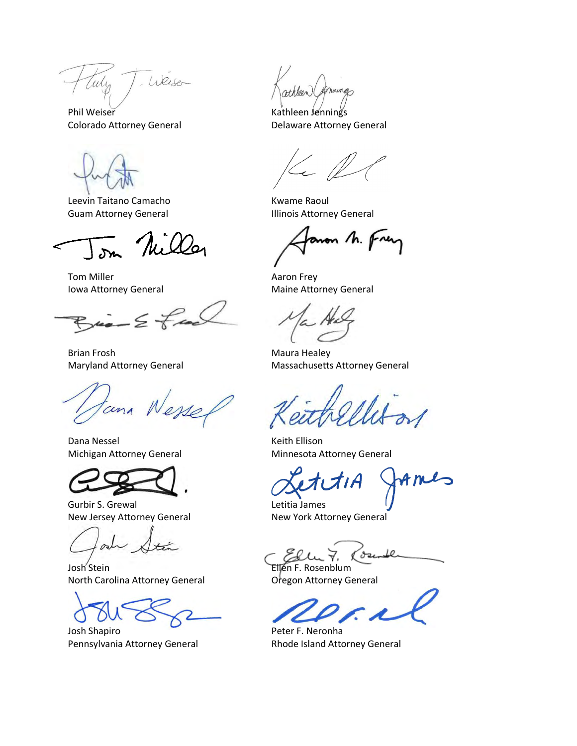Weiser ulis

Phil Weiser **Kathleen Jennings** Colorado Attorney General **Delaware Attorney General** 

Leevin Taitano Camacho **Kwame Raoul** 

 $\overline{\mathcal{M}}$ 

Tom Miller **Aaron Frey** 

 $-\epsilon$   $\neq$ 

Brian Frosh Maura Healey

tana Wesse

Dana Nessel **Keith Ellison** 



Gurbir S. Grewal **Letitia James** New Jersey Attorney General New York Attorney General

Josh Stein **Ellen F. Rosenblum** North Carolina Attorney General **Oregon Attorney General** 

Josh Shapiro Peter F. Neronha Pennsylvania Attorney General Rhode Island Attorney General

mings theen

Guam Attorney General **Illinois Attorney General** 

anon M. Frey

Iowa Attorney General **Maine Attorney General** Maine Attorney General

Maryland Attorney General Massachusetts Attorney General

Michigan Attorney General Minnesota Attorney General

Le 'du